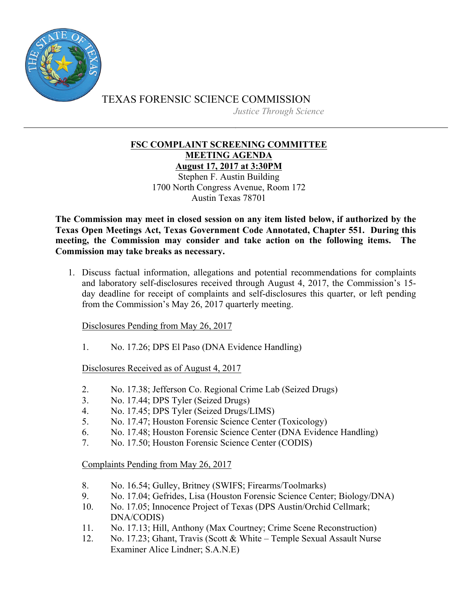

TEXAS FORENSIC SCIENCE COMMISSION *Justice Through Science*

## **FSC COMPLAINT SCREENING COMMITTEE MEETING AGENDA August 17, 2017 at 3:30PM**

Stephen F. Austin Building 1700 North Congress Avenue, Room 172 Austin Texas 78701

**The Commission may meet in closed session on any item listed below, if authorized by the Texas Open Meetings Act, Texas Government Code Annotated, Chapter 551. During this meeting, the Commission may consider and take action on the following items. The Commission may take breaks as necessary.**

1. Discuss factual information, allegations and potential recommendations for complaints and laboratory self-disclosures received through August 4, 2017, the Commission's 15 day deadline for receipt of complaints and self-disclosures this quarter, or left pending from the Commission's May 26, 2017 quarterly meeting.

Disclosures Pending from May 26, 2017

1. No. 17.26; DPS El Paso (DNA Evidence Handling)

Disclosures Received as of August 4, 2017

- 2. No. 17.38; Jefferson Co. Regional Crime Lab (Seized Drugs)
- 3. No. 17.44; DPS Tyler (Seized Drugs)
- 4. No. 17.45; DPS Tyler (Seized Drugs/LIMS)
- 5. No. 17.47; Houston Forensic Science Center (Toxicology)
- 6. No. 17.48; Houston Forensic Science Center (DNA Evidence Handling)
- 7. No. 17.50; Houston Forensic Science Center (CODIS)

Complaints Pending from May 26, 2017

- 8. No. 16.54; Gulley, Britney (SWIFS; Firearms/Toolmarks)
- 9. No. 17.04; Gefrides, Lisa (Houston Forensic Science Center; Biology/DNA)
- 10. No. 17.05; Innocence Project of Texas (DPS Austin/Orchid Cellmark; DNA/CODIS)
- 11. No. 17.13; Hill, Anthony (Max Courtney; Crime Scene Reconstruction)
- 12. No. 17.23; Ghant, Travis (Scott & White Temple Sexual Assault Nurse Examiner Alice Lindner; S.A.N.E)